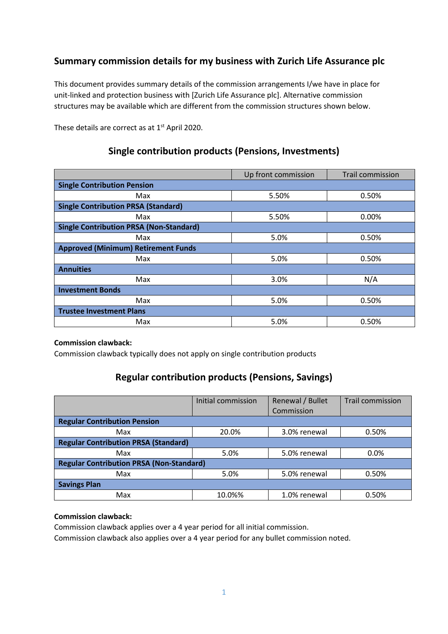# **Summary commission details for my business with Zurich Life Assurance plc**

This document provides summary details of the commission arrangements I/we have in place for unit-linked and protection business with [Zurich Life Assurance plc]. Alternative commission structures may be available which are different from the commission structures shown below.

These details are correct as at 1<sup>st</sup> April 2020.

## **Single contribution products (Pensions, Investments)**

|                                                | Up front commission | <b>Trail commission</b> |  |
|------------------------------------------------|---------------------|-------------------------|--|
| <b>Single Contribution Pension</b>             |                     |                         |  |
| Max                                            | 5.50%               | 0.50%                   |  |
| <b>Single Contribution PRSA (Standard)</b>     |                     |                         |  |
| Max                                            | 5.50%               | 0.00%                   |  |
| <b>Single Contribution PRSA (Non-Standard)</b> |                     |                         |  |
| Max                                            | 5.0%                | 0.50%                   |  |
| <b>Approved (Minimum) Retirement Funds</b>     |                     |                         |  |
| Max                                            | 5.0%                | 0.50%                   |  |
| <b>Annuities</b>                               |                     |                         |  |
| Max                                            | 3.0%                | N/A                     |  |
| <b>Investment Bonds</b>                        |                     |                         |  |
| Max                                            | 5.0%                | 0.50%                   |  |
| <b>Trustee Investment Plans</b>                |                     |                         |  |
| Max                                            | 5.0%                | 0.50%                   |  |

### **Commission clawback:**

Commission clawback typically does not apply on single contribution products

# **Regular contribution products (Pensions, Savings)**

|                                                 | Initial commission | Renewal / Bullet<br>Commission | Trail commission |
|-------------------------------------------------|--------------------|--------------------------------|------------------|
| <b>Regular Contribution Pension</b>             |                    |                                |                  |
| Max                                             | 20.0%              | 3.0% renewal                   | 0.50%            |
| <b>Regular Contribution PRSA (Standard)</b>     |                    |                                |                  |
| Max                                             | 5.0%               | 5.0% renewal                   | $0.0\%$          |
| <b>Regular Contribution PRSA (Non-Standard)</b> |                    |                                |                  |
| Max                                             | 5.0%               | 5.0% renewal                   | 0.50%            |
| <b>Savings Plan</b>                             |                    |                                |                  |
| Max                                             | 10.0%%             | 1.0% renewal                   | 0.50%            |

### **Commission clawback:**

Commission clawback applies over a 4 year period for all initial commission. Commission clawback also applies over a 4 year period for any bullet commission noted.